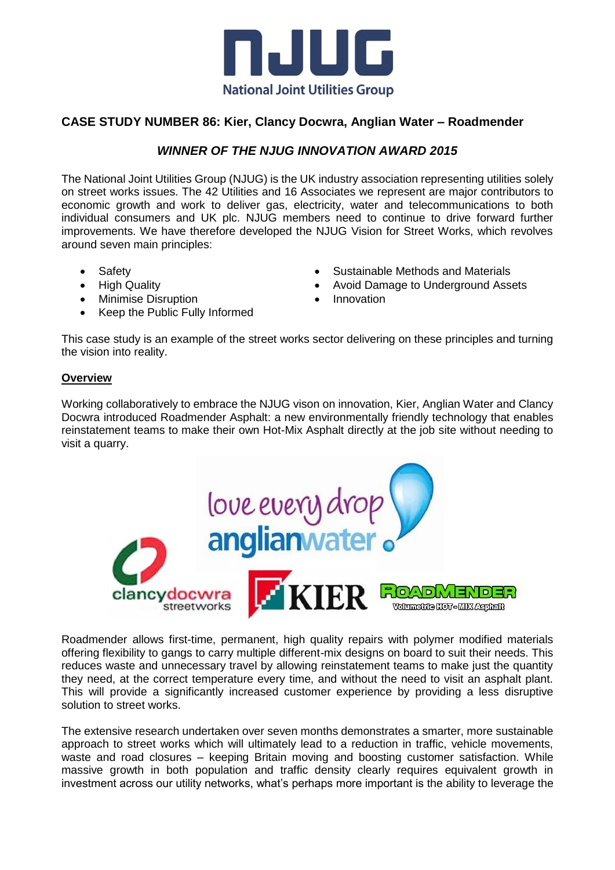

## **CASE STUDY NUMBER 86: Kier, Clancy Docwra, Anglian Water – Roadmender**

## *WINNER OF THE NJUG INNOVATION AWARD 2015*

The National Joint Utilities Group (NJUG) is the UK industry association representing utilities solely on street works issues. The 42 Utilities and 16 Associates we represent are major contributors to economic growth and work to deliver gas, electricity, water and telecommunications to both individual consumers and UK plc. NJUG members need to continue to drive forward further improvements. We have therefore developed the NJUG Vision for Street Works, which revolves around seven main principles:

- Safety
- High Quality
- Minimise Disruption
- Keep the Public Fully Informed
- Sustainable Methods and Materials
- Avoid Damage to Underground Assets
- Innovation

This case study is an example of the street works sector delivering on these principles and turning the vision into reality.

## **Overview**

Working collaboratively to embrace the NJUG vison on innovation, Kier, Anglian Water and Clancy Docwra introduced Roadmender Asphalt: a new environmentally friendly technology that enables reinstatement teams to make their own Hot-Mix Asphalt directly at the job site without needing to visit a quarry.



Roadmender allows first-time, permanent, high quality repairs with polymer modified materials offering flexibility to gangs to carry multiple different-mix designs on board to suit their needs. This reduces waste and unnecessary travel by allowing reinstatement teams to make just the quantity they need, at the correct temperature every time, and without the need to visit an asphalt plant. This will provide a significantly increased customer experience by providing a less disruptive solution to street works.

The extensive research undertaken over seven months demonstrates a smarter, more sustainable approach to street works which will ultimately lead to a reduction in traffic, vehicle movements, waste and road closures – keeping Britain moving and boosting customer satisfaction. While massive growth in both population and traffic density clearly requires equivalent growth in investment across our utility networks, what's perhaps more important is the ability to leverage the